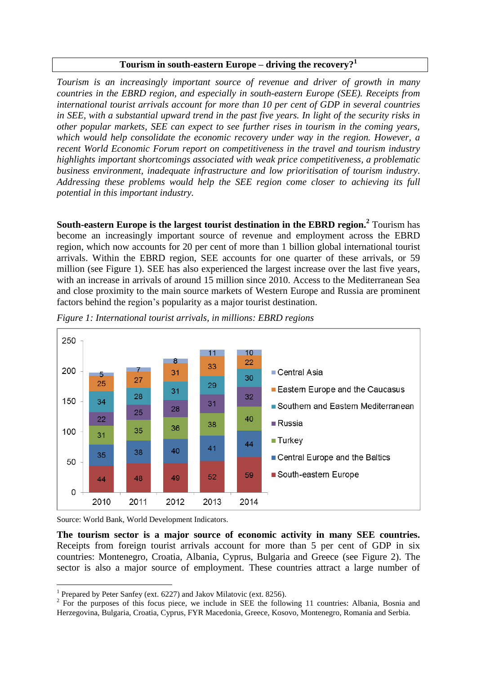## **Tourism in south-eastern Europe – driving the recovery?<sup>1</sup>**

*Tourism is an increasingly important source of revenue and driver of growth in many countries in the EBRD region, and especially in south-eastern Europe (SEE). Receipts from international tourist arrivals account for more than 10 per cent of GDP in several countries in SEE, with a substantial upward trend in the past five years. In light of the security risks in other popular markets, SEE can expect to see further rises in tourism in the coming years, which would help consolidate the economic recovery under way in the region. However, a recent World Economic Forum report on competitiveness in the travel and tourism industry highlights important shortcomings associated with weak price competitiveness, a problematic business environment, inadequate infrastructure and low prioritisation of tourism industry. Addressing these problems would help the SEE region come closer to achieving its full potential in this important industry.*

**South-eastern Europe is the largest tourist destination in the EBRD region.<sup>2</sup>** Tourism has become an increasingly important source of revenue and employment across the EBRD region, which now accounts for 20 per cent of more than 1 billion global international tourist arrivals. Within the EBRD region, SEE accounts for one quarter of these arrivals, or 59 million (see Figure 1). SEE has also experienced the largest increase over the last five years, with an increase in arrivals of around 15 million since 2010. Access to the Mediterranean Sea and close proximity to the main source markets of Western Europe and Russia are prominent factors behind the region's popularity as a major tourist destination.



*Figure 1: International tourist arrivals, in millions: EBRD regions* 

Source: World Bank, World Development Indicators.

 $\overline{a}$ 

**The tourism sector is a major source of economic activity in many SEE countries.**  Receipts from foreign tourist arrivals account for more than 5 per cent of GDP in six countries: Montenegro, Croatia, Albania, Cyprus, Bulgaria and Greece (see Figure 2). The sector is also a major source of employment. These countries attract a large number of

<sup>&</sup>lt;sup>1</sup> Prepared by Peter Sanfey (ext. 6227) and Jakov Milatovic (ext. 8256).

 $2^2$  For the purposes of this focus piece, we include in SEE the following 11 countries: Albania, Bosnia and Herzegovina, Bulgaria, Croatia, Cyprus, FYR Macedonia, Greece, Kosovo, Montenegro, Romania and Serbia.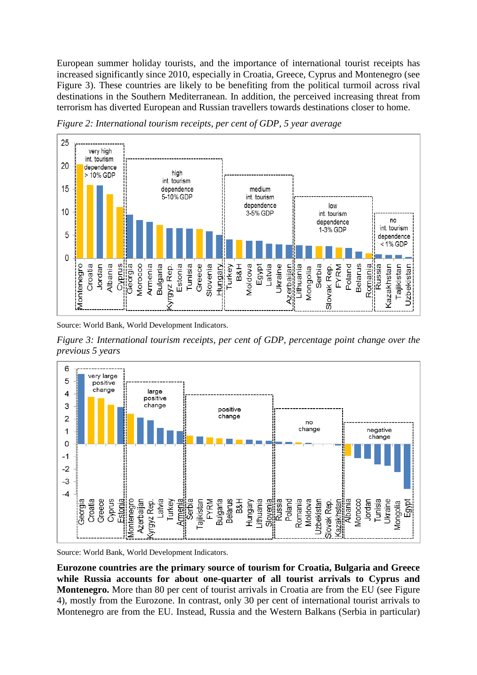European summer holiday tourists, and the importance of international tourist receipts has increased significantly since 2010, especially in Croatia, Greece, Cyprus and Montenegro (see Figure 3). These countries are likely to be benefiting from the political turmoil across rival destinations in the Southern Mediterranean. In addition, the perceived increasing threat from terrorism has diverted European and Russian travellers towards destinations closer to home.



*Figure 2: International tourism receipts, per cent of GDP, 5 year average*

Source: World Bank, World Development Indicators.

*Figure 3: International tourism receipts, per cent of GDP, percentage point change over the previous 5 years*



Source: World Bank, World Development Indicators.

**Eurozone countries are the primary source of tourism for Croatia, Bulgaria and Greece while Russia accounts for about one-quarter of all tourist arrivals to Cyprus and Montenegro.** More than 80 per cent of tourist arrivals in Croatia are from the EU (see Figure) 4), mostly from the Eurozone. In contrast, only 30 per cent of international tourist arrivals to Montenegro are from the EU. Instead, Russia and the Western Balkans (Serbia in particular)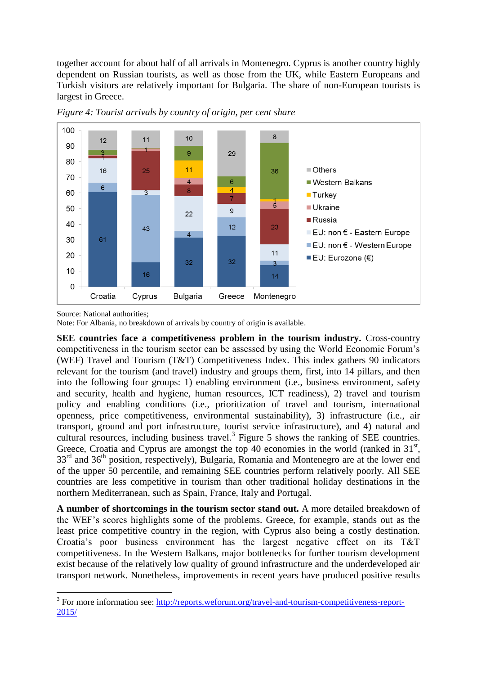together account for about half of all arrivals in Montenegro. Cyprus is another country highly dependent on Russian tourists, as well as those from the UK, while Eastern Europeans and Turkish visitors are relatively important for Bulgaria. The share of non-European tourists is largest in Greece.





Source: National authorities;

 $\overline{a}$ 

Note: For Albania, no breakdown of arrivals by country of origin is available.

**SEE countries face a competitiveness problem in the tourism industry.** Cross-country competitiveness in the tourism sector can be assessed by using the World Economic Forum's (WEF) Travel and Tourism (T&T) Competitiveness Index. This index gathers 90 indicators relevant for the tourism (and travel) industry and groups them, first, into 14 pillars, and then into the following four groups: 1) enabling environment (i.e., business environment, safety and security, health and hygiene, human resources, ICT readiness), 2) travel and tourism policy and enabling conditions (i.e., prioritization of travel and tourism, international openness, price competitiveness, environmental sustainability), 3) infrastructure (i.e., air transport, ground and port infrastructure, tourist service infrastructure), and 4) natural and cultural resources, including business travel.<sup>3</sup> Figure 5 shows the ranking of SEE countries. Greece, Croatia and Cyprus are amongst the top 40 economies in the world (ranked in  $31<sup>st</sup>$ , 33<sup>rd</sup> and 36<sup>th</sup> position, respectively), Bulgaria, Romania and Montenegro are at the lower end of the upper 50 percentile, and remaining SEE countries perform relatively poorly. All SEE countries are less competitive in tourism than other traditional holiday destinations in the northern Mediterranean, such as Spain, France, Italy and Portugal.

**A number of shortcomings in the tourism sector stand out.** A more detailed breakdown of the WEF's scores highlights some of the problems. Greece, for example, stands out as the least price competitive country in the region, with Cyprus also being a costly destination. Croatia's poor business environment has the largest negative effect on its T&T competitiveness. In the Western Balkans, major bottlenecks for further tourism development exist because of the relatively low quality of ground infrastructure and the underdeveloped air transport network. Nonetheless, improvements in recent years have produced positive results

<sup>&</sup>lt;sup>3</sup> For more information see: [http://reports.weforum.org/travel-and-tourism-competitiveness-report-](http://reports.weforum.org/travel-and-tourism-competitiveness-report-2015/)[2015/](http://reports.weforum.org/travel-and-tourism-competitiveness-report-2015/)